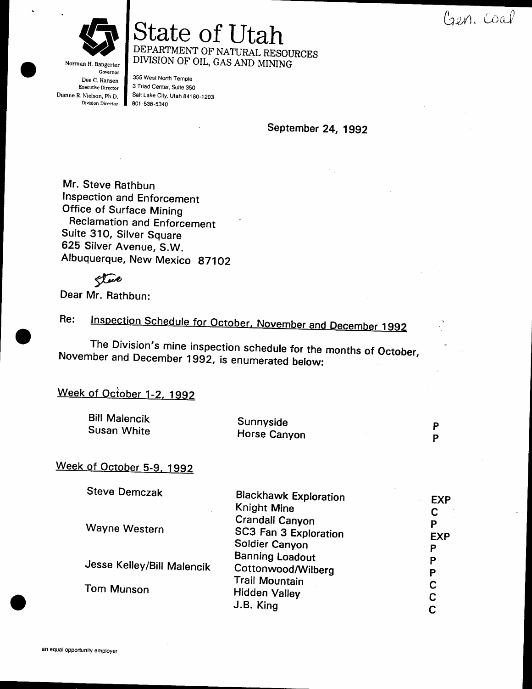Gen. Coal



Norman H. Bangerter Governor Dee C. Hansen **Executive Director** Dianne R. Nielson, Ph.D. **Division Director** 

State of Utah DEPARTMENT OF NATURAL RESOURCES DIVISION OF OIL, GAS AND MINING

355 West North Temple 3 Triad Center, Suite 350 Salt Lake City, Utah 84180-1203 801-538-5340

September 24, 1992

Mr. Steve Rathbun Inspection and Enforcement **Office of Surface Mining Reclamation and Enforcement** Suite 310, Silver Square 625 Silver Avenue, S.W. Albuquerque, New Mexico 87102

there

Dear Mr. Rathbun:

Inspection Schedule for October, November and December 1992 Re:

The Division's mine inspection schedule for the months of October, November and December 1992, is enumerated below:

### Week of October 1-2, 1992

| <b>Bill Malencik</b><br>Susan White | Sunnyside<br>Horse Canyon |  |
|-------------------------------------|---------------------------|--|
| k of Ootahay E.O. Kooo              |                           |  |

# Week of October 5-9, 1992

| Steve Demczak              | <b>Blackhawk Exploration</b> | <b>EXP</b> |
|----------------------------|------------------------------|------------|
|                            | Knight Mine                  |            |
|                            | <b>Crandall Canyon</b>       | Ρ          |
| Wayne Western              | SC3 Fan 3 Exploration        | <b>EXP</b> |
|                            | Soldier Canyon               | Ρ          |
| Jesse Kelley/Bill Malencik | <b>Banning Loadout</b>       | P          |
|                            | Cottonwood/Wilberg           | P          |
| <b>Tom Munson</b>          | <b>Trail Mountain</b>        | C          |
|                            | Hidden Valley                | С          |
|                            | J.B. King                    |            |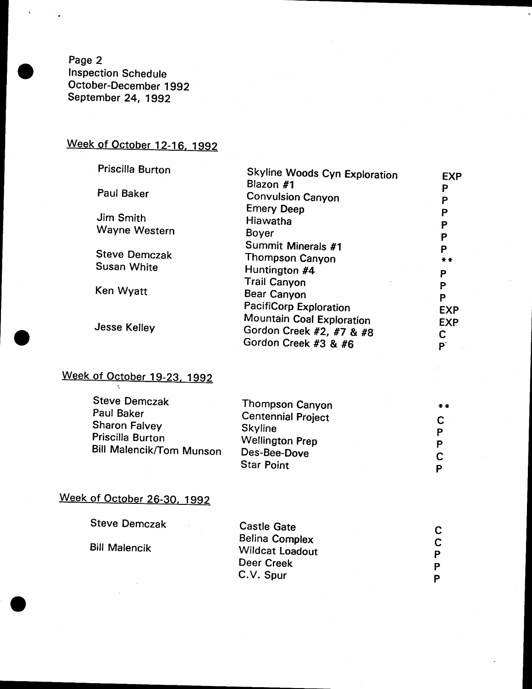Page 2 Inspection Schedule October-December 1992 September 24, 1992

# Week of October 12-16, 1992

| Priscilla Burton     | <b>Skyline Woods Cyn Exploration</b> | <b>EXP</b> |
|----------------------|--------------------------------------|------------|
|                      | Blazon #1                            | P          |
| Paul Baker           | <b>Convulsion Canyon</b>             | P          |
|                      | <b>Emery Deep</b>                    | Ρ          |
| Jim Smith            | Hiawatha                             | Ρ          |
| Wayne Western        | Boyer                                | Ρ          |
|                      | Summit Minerals #1                   | P          |
| <b>Steve Demczak</b> | Thompson Canyon                      | $* *$      |
| <b>Susan White</b>   | Huntington #4                        | Ρ          |
|                      | <b>Trail Canyon</b>                  | P          |
| Ken Wyatt            | Bear Canyon                          | P          |
| <b>Jesse Kelley</b>  | <b>PacifiCorp Exploration</b>        | <b>EXP</b> |
|                      | Mountain Coal Exploration            | <b>EXP</b> |
|                      | Gordon Creek #2, #7 & #8             | C          |
|                      | Gordon Creek #3 & #6                 | P          |

# Week of October 19-23, 1992

| <b>Steve Demczak</b>            | Thompson Canyon           | $+ +$ |
|---------------------------------|---------------------------|-------|
| Paul Baker                      | <b>Centennial Project</b> |       |
| Sharon Falvey                   | Skyline                   | С     |
| Priscilla Burton                | <b>Wellington Prep</b>    | P     |
| <b>Bill Malencik/Tom Munson</b> |                           | Р     |
|                                 | Des-Bee-Dove              |       |
|                                 | <b>Star Point</b>         | D     |

# Week of October 26-30, 1992

| <b>Steve Demczak</b> | Castle Gate                                     |        |
|----------------------|-------------------------------------------------|--------|
| <b>Bill Malencik</b> | <b>Belina Complex</b><br><b>Wildcat Loadout</b> |        |
|                      | Deer Creek                                      | P<br>Þ |
|                      | C.V. Spur                                       | P      |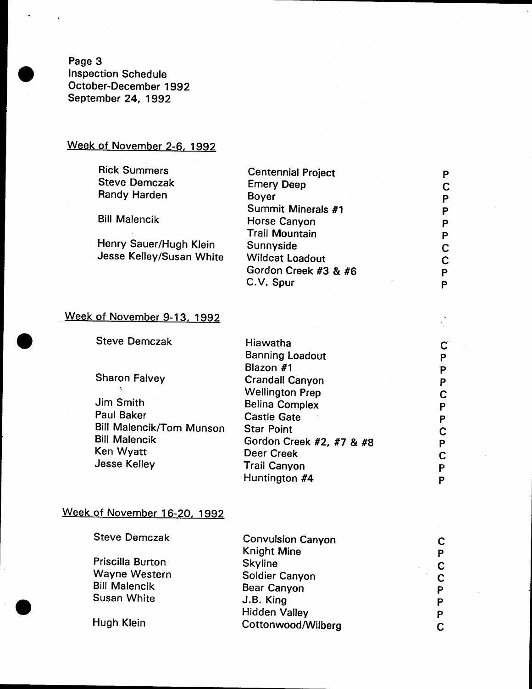Page 3 Inspection Schedule October-December 1gg2 September 24, 1992

# Week of November 2-6, 1992

| <b>Rick Summers</b>      | <b>Centennial Project</b> | Р |
|--------------------------|---------------------------|---|
| <b>Steve Demczak</b>     | <b>Emery Deep</b>         |   |
| Randy Harden             | Boyer                     | Р |
|                          | Summit Minerals #1        | Р |
| <b>Bill Malencik</b>     | Horse Canyon              | Р |
|                          | <b>Trail Mountain</b>     | P |
| Henry Sauer/Hugh Klein   | Sunnyside                 | C |
| Jesse Kelley/Susan White | <b>Wildcat Loadout</b>    | C |
|                          | Gordon Creek #3 & #6      | D |
|                          | C.V. Spur                 |   |
|                          |                           |   |

c P P P c P P c P c P P

 $\frac{1}{2}$ 

### Week of November 9-13, 1992

| <b>Steve Demczak</b>            | Hiawatha                 |
|---------------------------------|--------------------------|
|                                 | <b>Banning Loadout</b>   |
|                                 | Blazon #1                |
| <b>Sharon Falvey</b>            | <b>Crandall Canyon</b>   |
|                                 | <b>Wellington Prep</b>   |
| Jim Smith                       | <b>Belina Complex</b>    |
| Paul Baker                      | <b>Castle Gate</b>       |
| <b>Bill Malencik/Tom Munson</b> | <b>Star Point</b>        |
| <b>Bill Malencik</b>            | Gordon Creek #2, #7 & #8 |
| Ken Wyatt                       | Deer Creek               |
| <b>Jesse Kelley</b>             | <b>Trail Canyon</b>      |
|                                 | Huntington #4            |

### Week of November 16-20, 1992

| <b>Steve Demczak</b> | <b>Convulsion Canyon</b> |   |
|----------------------|--------------------------|---|
|                      | Knight Mine              | P |
| Priscilla Burton     | <b>Skyline</b>           |   |
| Wayne Western        | Soldier Canyon           | C |
| <b>Bill Malencik</b> | Bear Canyon              | Ρ |
| <b>Susan White</b>   | J.B. King                | P |
|                      | <b>Hidden Valley</b>     | P |
| Hugh Klein           | Cottonwood/Wilberg       |   |
|                      |                          |   |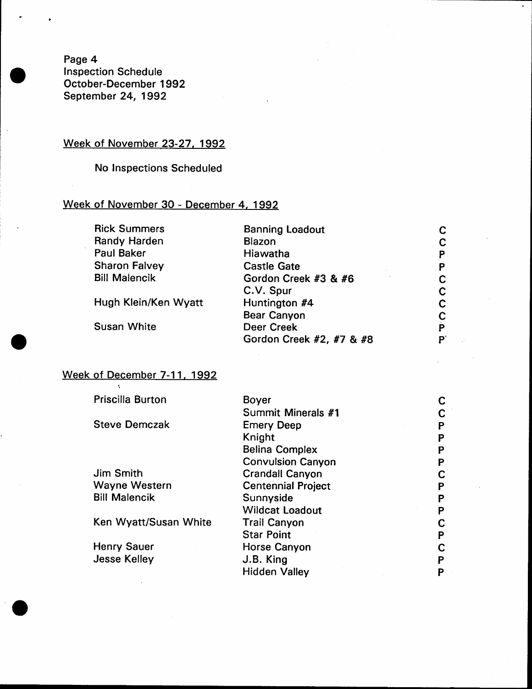Page 4 lnspection Schedule October-December 1992 September 24, 1992

#### Week of November 23-27, 1992

No lnspections Scheduled

### Week of November 30 - December 4, 1992

Rick Summers Randy Harden Paul Baker Sharon Falvey Bill Malencik

Hugh Klein/Ken Wyatt

Susan White

 $\mathbf{A}$ 

Banning Loadout Blazon Hiawatha Castle Gate Gordon Creek #3 & #6 C.V. Spur Huntington #4 Bear Canyon Deer Creek Gordon Creek #2, #7 & #8

c c P P c c c c P P-

### Week of December 7-11, 1992

| <b>Priscilla Burton</b> | <b>Boyer</b>              |   |
|-------------------------|---------------------------|---|
|                         | Summit Minerals #1        | C |
| <b>Steve Demczak</b>    | <b>Emery Deep</b>         | P |
|                         | Knight                    | P |
|                         | <b>Belina Complex</b>     | P |
|                         | <b>Convulsion Canyon</b>  | P |
| <b>Jim Smith</b>        | <b>Crandall Canyon</b>    | С |
| <b>Wayne Western</b>    | <b>Centennial Project</b> | P |
| <b>Bill Malencik</b>    | Sunnyside                 | P |
|                         | <b>Wildcat Loadout</b>    | P |
| Ken Wyatt/Susan White   | <b>Trail Canyon</b>       | С |
|                         | <b>Star Point</b>         | P |
| <b>Henry Sauer</b>      | Horse Canyon              | С |
| <b>Jesse Kelley</b>     | J.B. King                 | Ρ |
|                         | <b>Hidden Valley</b>      | P |